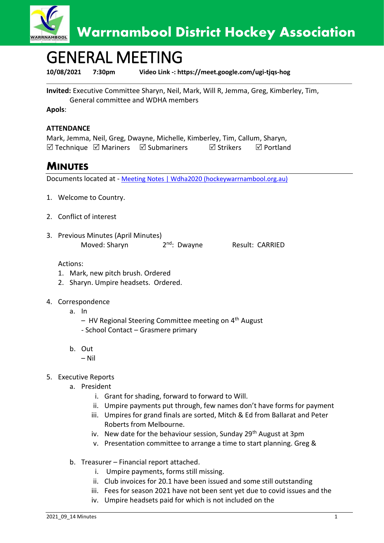

## GENERAL MEETING

**10/08/2021 7:30pm Video Link -: https://meet.google.com/ugi-tjqs-hog**

**Invited:** Executive Committee Sharyn, Neil, Mark, Will R, Jemma, Greg, Kimberley, Tim, General committee and WDHA members

**Apols**:

## **ATTENDANCE**

Mark, Jemma, Neil, Greg, Dwayne, Michelle, Kimberley, Tim, Callum, Sharyn,  $\boxtimes$  Technique  $\boxtimes$  Mariners  $\boxtimes$  Submariners  $\boxtimes$  Strikers  $\boxtimes$  Portland

## **MINUTES**

Documents located at - [Meeting Notes | Wdha2020 \(hockeywarrnambool.org.au\)](https://www.hockeywarrnambool.org.au/meeting-notes)

- 1. Welcome to Country.
- 2. Conflict of interest
- 3. Previous Minutes (April Minutes) Moved: Sharyn 2

2<sup>nd</sup>: Dwayne Result: CARRIED

Actions:

- 1. Mark, new pitch brush. Ordered
- 2. Sharyn. Umpire headsets. Ordered.
- 4. Correspondence
	- a. In
		- HV Regional Steering Committee meeting on 4<sup>th</sup> August
		- School Contact Grasmere primary
	- b. Out
		- Nil
- 5. Executive Reports
	- a. President
		- i. Grant for shading, forward to forward to Will.
		- ii. Umpire payments put through, few names don't have forms for payment
		- iii. Umpires for grand finals are sorted, Mitch & Ed from Ballarat and Peter Roberts from Melbourne.
		- iv. New date for the behaviour session, Sunday 29<sup>th</sup> August at 3pm
		- v. Presentation committee to arrange a time to start planning. Greg &
	- b. Treasurer Financial report attached.
		- i. Umpire payments, forms still missing.
		- ii. Club invoices for 20.1 have been issued and some still outstanding
		- iii. Fees for season 2021 have not been sent yet due to covid issues and the
		- iv. Umpire headsets paid for which is not included on the